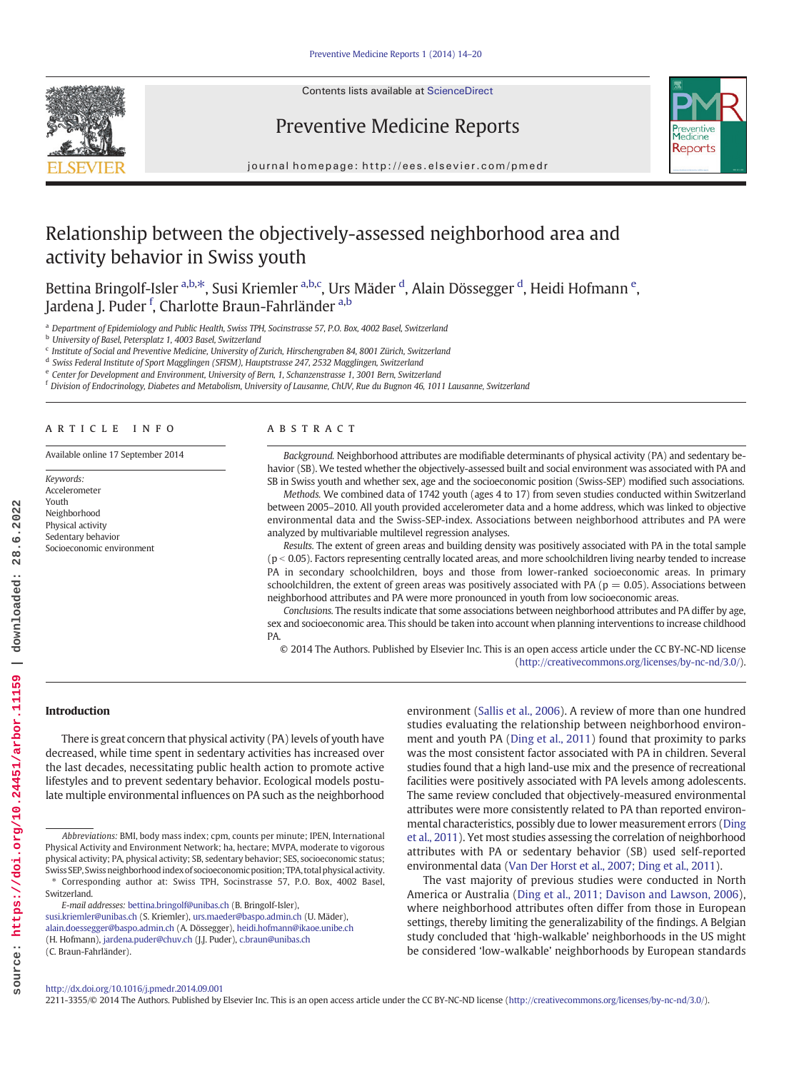Contents lists available at [ScienceDirect](http://www.sciencedirect.com/science/journal/)





Preventive Medicine Reports

journal homepage:<http://ees.elsevier.com/pmedr>

# Relationship between the objectively-assessed neighborhood area and activity behavior in Swiss youth

Bettina Bringolf-Isler <sup>a,b,\*</sup>, Susi Kriemler <sup>a,b,c</sup>, Urs Mäder <sup>d</sup>, Alain Dössegger <sup>d</sup>, Heidi Hofmann <sup>e</sup>, Jardena J. Puder <sup>f</sup>, Charlotte Braun-Fahrländer <sup>a,b</sup>

Department of Epidemiology and Public Health, Swiss TPH, Socinstrasse 57, P.O. Box, 4002 Basel, Switzerland

<sup>b</sup> University of Basel, Petersplatz 1, 4003 Basel, Switzerland

 $c$  Institute of Social and Preventive Medicine, University of Zurich, Hirschengraben 84, 8001 Zürich, Switzerland

<sup>d</sup> Swiss Federal Institute of Sport Magglingen (SFISM), Hauptstrasse 247, 2532 Magglingen, Switzerland

<sup>e</sup> Center for Development and Environment, University of Bern, 1, Schanzenstrasse 1, 3001 Bern, Switzerland

<sup>f</sup> Division of Endocrinology, Diabetes and Metabolism, University of Lausanne, ChUV, Rue du Bugnon 46, 1011 Lausanne, Switzerland

# article info abstract

Available online 17 September 2014

Keywords: Accelerometer Youth Neighborhood Physical activity Sedentary behavior Socioeconomic environment

Background. Neighborhood attributes are modifiable determinants of physical activity (PA) and sedentary behavior (SB). We tested whether the objectively-assessed built and social environment was associated with PA and SB in Swiss youth and whether sex, age and the socioeconomic position (Swiss-SEP) modified such associations.

Methods. We combined data of 1742 youth (ages 4 to 17) from seven studies conducted within Switzerland between 2005–2010. All youth provided accelerometer data and a home address, which was linked to objective environmental data and the Swiss-SEP-index. Associations between neighborhood attributes and PA were analyzed by multivariable multilevel regression analyses.

Results. The extent of green areas and building density was positively associated with PA in the total sample  $(p < 0.05)$ . Factors representing centrally located areas, and more schoolchildren living nearby tended to increase PA in secondary schoolchildren, boys and those from lower-ranked socioeconomic areas. In primary schoolchildren, the extent of green areas was positively associated with PA ( $p = 0.05$ ). Associations between neighborhood attributes and PA were more pronounced in youth from low socioeconomic areas.

Conclusions. The results indicate that some associations between neighborhood attributes and PA differ by age, sex and socioeconomic area. This should be taken into account when planning interventions to increase childhood PA.

© 2014 The Authors. Published by Elsevier Inc. This is an open access article under the CC BY-NC-ND license (<http://creativecommons.org/licenses/by-nc-nd/3.0/>).

# Introduction

There is great concern that physical activity (PA) levels of youth have decreased, while time spent in sedentary activities has increased over the last decades, necessitating public health action to promote active lifestyles and to prevent sedentary behavior. Ecological models postulate multiple environmental influences on PA such as the neighborhood

E-mail addresses: [bettina.bringolf@unibas.ch](mailto:bettina.bringolf@unibas.ch) (B. Bringolf-Isler),

[susi.kriemler@unibas.ch](mailto:susi.kriemler@unibas.ch) (S. Kriemler), [urs.maeder@baspo.admin.ch](mailto:urs.maeder@baspo.admin.ch) (U. Mäder), [alain.doessegger@baspo.admin.ch](mailto:alain.doessegger@baspo.admin.ch) (A. Dössegger), [heidi.hofmann@ikaoe.unibe.ch](mailto:heidi.hofmann@ikaoe.unibe.ch) (H. Hofmann), [jardena.puder@chuv.ch](mailto:jardena.puder@chuv.ch) (J.J. Puder), [c.braun@unibas.ch](mailto:c.braun@unibas.ch) (C. Braun-Fahrländer).

environment (Sallis et al., 2006). A review of more than one hundred studies evaluating the relationship between neighborhood environment and youth PA (Ding et al., 2011) found that proximity to parks was the most consistent factor associated with PA in children. Several studies found that a high land-use mix and the presence of recreational facilities were positively associated with PA levels among adolescents. The same review concluded that objectively-measured environmental attributes were more consistently related to PA than reported environmental characteristics, possibly due to lower measurement errors (Ding et al., 2011). Yet most studies assessing the correlation of neighborhood attributes with PA or sedentary behavior (SB) used self-reported environmental data (Van Der Horst et al., 2007; Ding et al., 2011).

The vast majority of previous studies were conducted in North America or Australia (Ding et al., 2011; Davison and Lawson, 2006), where neighborhood attributes often differ from those in European settings, thereby limiting the generalizability of the findings. A Belgian study concluded that 'high-walkable' neighborhoods in the US might be considered 'low-walkable' neighborhoods by European standards

#### <http://dx.doi.org/10.1016/j.pmedr.2014.09.001>

2211-3355/© 2014 The Authors. Published by Elsevier Inc. This is an open access article under the CC BY-NC-ND license [\(http://creativecommons.org/licenses/by-nc-nd/3.0/\)](http://creativecommons.org/licenses/by-nc-nd/3.0/).

Abbreviations: BMI, body mass index; cpm, counts per minute; IPEN, International Physical Activity and Environment Network; ha, hectare; MVPA, moderate to vigorous physical activity; PA, physical activity; SB, sedentary behavior; SES, socioeconomic status; Swiss SEP, Swiss neighborhood index of socioeconomic position; TPA, total physical activity. ⁎ Corresponding author at: Swiss TPH, Socinstrasse 57, P.O. Box, 4002 Basel, Switzerland.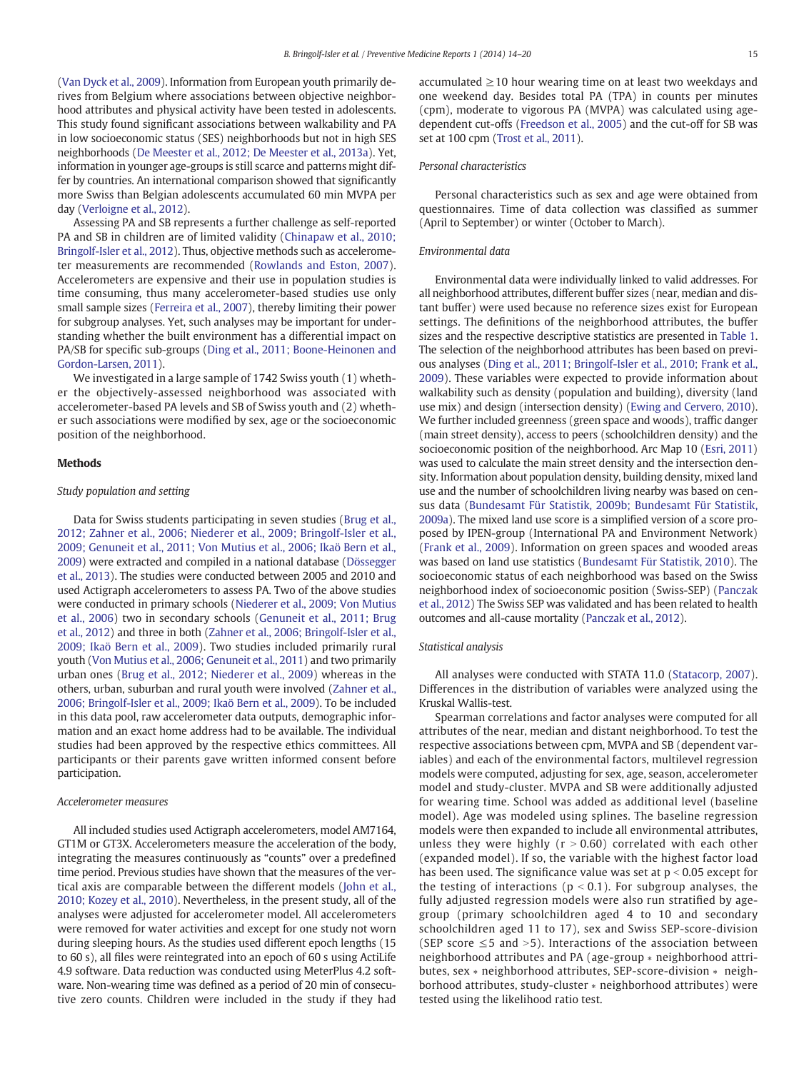(Van Dyck et al., 2009). Information from European youth primarily derives from Belgium where associations between objective neighborhood attributes and physical activity have been tested in adolescents. This study found significant associations between walkability and PA in low socioeconomic status (SES) neighborhoods but not in high SES neighborhoods (De Meester et al., 2012; De Meester et al., 2013a). Yet, information in younger age-groups is still scarce and patterns might differ by countries. An international comparison showed that significantly more Swiss than Belgian adolescents accumulated 60 min MVPA per day (Verloigne et al., 2012).

Assessing PA and SB represents a further challenge as self-reported PA and SB in children are of limited validity (Chinapaw et al., 2010; Bringolf-Isler et al., 2012). Thus, objective methods such as accelerometer measurements are recommended (Rowlands and Eston, 2007). Accelerometers are expensive and their use in population studies is time consuming, thus many accelerometer-based studies use only small sample sizes (Ferreira et al., 2007), thereby limiting their power for subgroup analyses. Yet, such analyses may be important for understanding whether the built environment has a differential impact on PA/SB for specific sub-groups (Ding et al., 2011; Boone-Heinonen and Gordon-Larsen, 2011).

We investigated in a large sample of 1742 Swiss youth (1) whether the objectively-assessed neighborhood was associated with accelerometer-based PA levels and SB of Swiss youth and (2) whether such associations were modified by sex, age or the socioeconomic position of the neighborhood.

# Methods

# Study population and setting

Data for Swiss students participating in seven studies (Brug et al., 2012; Zahner et al., 2006; Niederer et al., 2009; Bringolf-Isler et al., 2009; Genuneit et al., 2011; Von Mutius et al., 2006; Ikaö Bern et al., 2009) were extracted and compiled in a national database (Dössegger et al., 2013). The studies were conducted between 2005 and 2010 and used Actigraph accelerometers to assess PA. Two of the above studies were conducted in primary schools (Niederer et al., 2009; Von Mutius et al., 2006) two in secondary schools (Genuneit et al., 2011; Brug et al., 2012) and three in both (Zahner et al., 2006; Bringolf-Isler et al., 2009; Ikaö Bern et al., 2009). Two studies included primarily rural youth (Von Mutius et al., 2006; Genuneit et al., 2011) and two primarily urban ones (Brug et al., 2012; Niederer et al., 2009) whereas in the others, urban, suburban and rural youth were involved (Zahner et al., 2006; Bringolf-Isler et al., 2009; Ikaö Bern et al., 2009). To be included in this data pool, raw accelerometer data outputs, demographic information and an exact home address had to be available. The individual studies had been approved by the respective ethics committees. All participants or their parents gave written informed consent before participation.

# Accelerometer measures

All included studies used Actigraph accelerometers, model AM7164, GT1M or GT3X. Accelerometers measure the acceleration of the body, integrating the measures continuously as "counts" over a predefined time period. Previous studies have shown that the measures of the vertical axis are comparable between the different models (John et al., 2010; Kozey et al., 2010). Nevertheless, in the present study, all of the analyses were adjusted for accelerometer model. All accelerometers were removed for water activities and except for one study not worn during sleeping hours. As the studies used different epoch lengths (15 to 60 s), all files were reintegrated into an epoch of 60 s using ActiLife 4.9 software. Data reduction was conducted using MeterPlus 4.2 software. Non-wearing time was defined as a period of 20 min of consecutive zero counts. Children were included in the study if they had accumulated  $\geq$  10 hour wearing time on at least two weekdays and one weekend day. Besides total PA (TPA) in counts per minutes (cpm), moderate to vigorous PA (MVPA) was calculated using agedependent cut-offs (Freedson et al., 2005) and the cut-off for SB was set at 100 cpm (Trost et al., 2011).

#### Personal characteristics

Personal characteristics such as sex and age were obtained from questionnaires. Time of data collection was classified as summer (April to September) or winter (October to March).

# Environmental data

Environmental data were individually linked to valid addresses. For all neighborhood attributes, different buffer sizes (near, median and distant buffer) were used because no reference sizes exist for European settings. The definitions of the neighborhood attributes, the buffer sizes and the respective descriptive statistics are presented in Table 1. The selection of the neighborhood attributes has been based on previous analyses (Ding et al., 2011; Bringolf-Isler et al., 2010; Frank et al., 2009). These variables were expected to provide information about walkability such as density (population and building), diversity (land use mix) and design (intersection density) (Ewing and Cervero, 2010). We further included greenness (green space and woods), traffic danger (main street density), access to peers (schoolchildren density) and the socioeconomic position of the neighborhood. Arc Map 10 (Esri, 2011) was used to calculate the main street density and the intersection density. Information about population density, building density, mixed land use and the number of schoolchildren living nearby was based on census data (Bundesamt Für Statistik, 2009b; Bundesamt Für Statistik, 2009a). The mixed land use score is a simplified version of a score proposed by IPEN-group (International PA and Environment Network) (Frank et al., 2009). Information on green spaces and wooded areas was based on land use statistics (Bundesamt Für Statistik, 2010). The socioeconomic status of each neighborhood was based on the Swiss neighborhood index of socioeconomic position (Swiss-SEP) (Panczak et al., 2012) The Swiss SEP was validated and has been related to health outcomes and all-cause mortality (Panczak et al., 2012).

# Statistical analysis

All analyses were conducted with STATA 11.0 (Statacorp, 2007). Differences in the distribution of variables were analyzed using the Kruskal Wallis-test.

Spearman correlations and factor analyses were computed for all attributes of the near, median and distant neighborhood. To test the respective associations between cpm, MVPA and SB (dependent variables) and each of the environmental factors, multilevel regression models were computed, adjusting for sex, age, season, accelerometer model and study-cluster. MVPA and SB were additionally adjusted for wearing time. School was added as additional level (baseline model). Age was modeled using splines. The baseline regression models were then expanded to include all environmental attributes, unless they were highly ( $r > 0.60$ ) correlated with each other (expanded model). If so, the variable with the highest factor load has been used. The significance value was set at  $p < 0.05$  except for the testing of interactions ( $p < 0.1$ ). For subgroup analyses, the fully adjusted regression models were also run stratified by agegroup (primary schoolchildren aged 4 to 10 and secondary schoolchildren aged 11 to 17), sex and Swiss SEP-score-division (SEP score  $\leq$  5 and > 5). Interactions of the association between neighborhood attributes and PA (age-group ∗ neighborhood attributes, sex ∗ neighborhood attributes, SEP-score-division ∗ neighborhood attributes, study-cluster ∗ neighborhood attributes) were tested using the likelihood ratio test.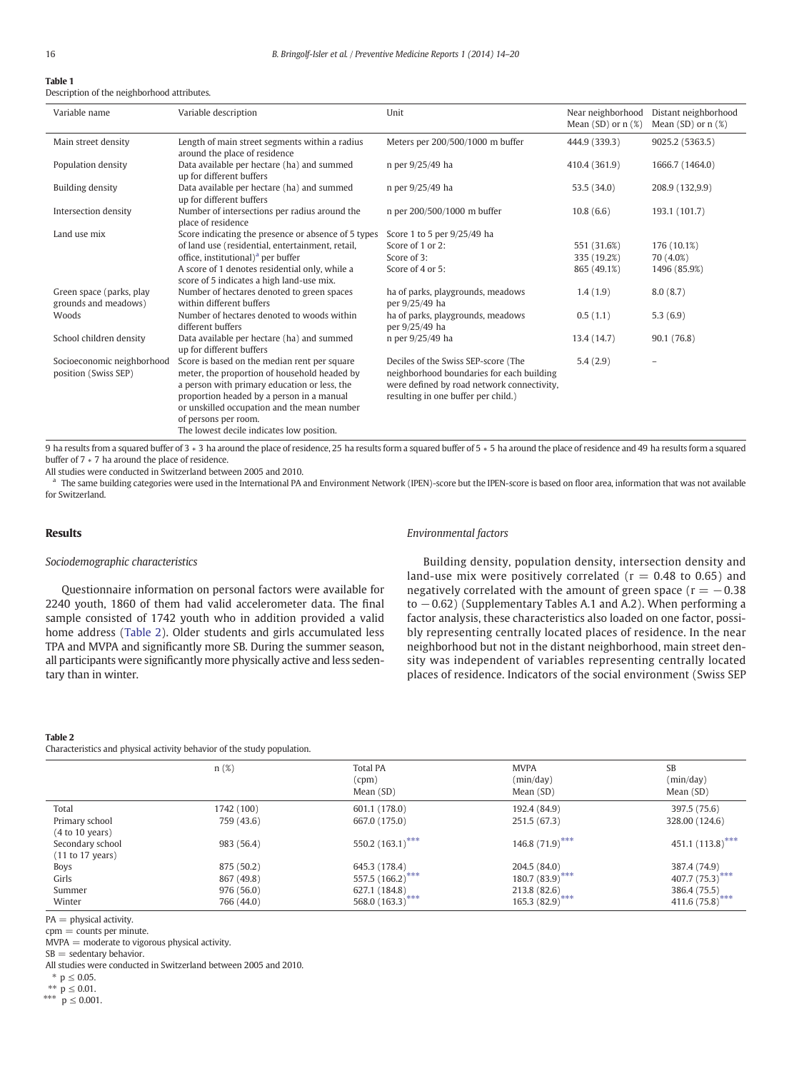# Table 1

Description of the neighborhood attributes.

| Variable name                                      | Variable description                                                                                                                                                                                                                                                                                          | Unit                                                                                                                                                                  | Near neighborhood<br>Mean $(SD)$ or $n$ $(\%)$ | Distant neighborhood<br>Mean $(SD)$ or $n(X)$ |
|----------------------------------------------------|---------------------------------------------------------------------------------------------------------------------------------------------------------------------------------------------------------------------------------------------------------------------------------------------------------------|-----------------------------------------------------------------------------------------------------------------------------------------------------------------------|------------------------------------------------|-----------------------------------------------|
| Main street density                                | Length of main street segments within a radius<br>around the place of residence                                                                                                                                                                                                                               | Meters per 200/500/1000 m buffer                                                                                                                                      | 444.9 (339.3)                                  | 9025.2 (5363.5)                               |
| Population density                                 | Data available per hectare (ha) and summed<br>up for different buffers                                                                                                                                                                                                                                        | n per 9/25/49 ha                                                                                                                                                      | 410.4 (361.9)                                  | 1666.7 (1464.0)                               |
| Building density                                   | Data available per hectare (ha) and summed<br>up for different buffers                                                                                                                                                                                                                                        | n per 9/25/49 ha                                                                                                                                                      | 53.5 (34.0)                                    | 208.9 (132,9.9)                               |
| Intersection density                               | Number of intersections per radius around the<br>place of residence                                                                                                                                                                                                                                           | n per 200/500/1000 m buffer                                                                                                                                           | 10.8(6.6)                                      | 193.1 (101.7)                                 |
| Land use mix                                       | Score indicating the presence or absence of 5 types                                                                                                                                                                                                                                                           | Score 1 to 5 per 9/25/49 ha                                                                                                                                           |                                                |                                               |
|                                                    | of land use (residential, entertainment, retail,                                                                                                                                                                                                                                                              | Score of 1 or 2:                                                                                                                                                      | 551 (31.6%)                                    | 176 (10.1%)                                   |
|                                                    | office, institutional) <sup>a</sup> per buffer                                                                                                                                                                                                                                                                | Score of 3:                                                                                                                                                           | 335 (19.2%)                                    | 70 (4.0%)                                     |
|                                                    | A score of 1 denotes residential only, while a<br>score of 5 indicates a high land-use mix.                                                                                                                                                                                                                   | Score of 4 or 5:                                                                                                                                                      | 865 (49.1%)                                    | 1496 (85.9%)                                  |
| Green space (parks, play<br>grounds and meadows)   | Number of hectares denoted to green spaces<br>within different buffers                                                                                                                                                                                                                                        | ha of parks, playgrounds, meadows<br>per 9/25/49 ha                                                                                                                   | 1.4(1.9)                                       | 8.0(8.7)                                      |
| Woods                                              | Number of hectares denoted to woods within<br>different buffers                                                                                                                                                                                                                                               | ha of parks, playgrounds, meadows<br>per 9/25/49 ha                                                                                                                   | 0.5(1.1)                                       | 5.3(6.9)                                      |
| School children density                            | Data available per hectare (ha) and summed<br>up for different buffers                                                                                                                                                                                                                                        | n per 9/25/49 ha                                                                                                                                                      | 13.4 (14.7)                                    | 90.1 (76.8)                                   |
| Socioeconomic neighborhood<br>position (Swiss SEP) | Score is based on the median rent per square<br>meter, the proportion of household headed by<br>a person with primary education or less, the<br>proportion headed by a person in a manual<br>or unskilled occupation and the mean number<br>of persons per room.<br>The lowest decile indicates low position. | Deciles of the Swiss SEP-score (The<br>neighborhood boundaries for each building<br>were defined by road network connectivity,<br>resulting in one buffer per child.) | 5.4(2.9)                                       |                                               |

9 ha results from a squared buffer of 3 \* 3 ha around the place of residence, 25 ha results form a squared buffer of 5 \* 5 ha around the place of residence and 49 ha results form a squared buffer of 7 ∗ 7 ha around the place of residence.

All studies were conducted in Switzerland between 2005 and 2010.

The same building categories were used in the International PA and Environment Network (IPEN)-score but the IPEN-score is based on floor area, information that was not available for Switzerland.

# Results

# Sociodemographic characteristics

Questionnaire information on personal factors were available for 2240 youth, 1860 of them had valid accelerometer data. The final sample consisted of 1742 youth who in addition provided a valid home address (Table 2). Older students and girls accumulated less TPA and MVPA and significantly more SB. During the summer season, all participants were significantly more physically active and less sedentary than in winter.

# Environmental factors

Building density, population density, intersection density and land-use mix were positively correlated ( $r = 0.48$  to 0.65) and negatively correlated with the amount of green space ( $r = -0.38$ ) to −0.62) (Supplementary Tables A.1 and A.2). When performing a factor analysis, these characteristics also loaded on one factor, possibly representing centrally located places of residence. In the near neighborhood but not in the distant neighborhood, main street density was independent of variables representing centrally located places of residence. Indicators of the social environment (Swiss SEP

#### Table 2

Characteristics and physical activity behavior of the study population.

|                  | n(%)       | <b>Total PA</b><br>$_{\rm (cpm)}$<br>Mean (SD) | <b>MVPA</b><br>(min/day)<br>Mean (SD) | SB<br>(min/day)<br>Mean (SD)   |
|------------------|------------|------------------------------------------------|---------------------------------------|--------------------------------|
| Total            | 1742 (100) | 601.1 (178.0)                                  | 192.4 (84.9)                          | 397.5 (75.6)                   |
| Primary school   | 759 (43.6) | 667.0 (175.0)                                  | 251.5 (67.3)                          | 328.00 (124.6)                 |
| (4 to 10 years)  |            |                                                |                                       |                                |
| Secondary school | 983 (56.4) | 550.2 $(163.1)$ ***                            | 146.8 $(71.9)$ ***                    | 451.1 $(113.8)$ <sup>***</sup> |
| (11 to 17 years) |            |                                                |                                       |                                |
| <b>Boys</b>      | 875 (50.2) | 645.3 (178.4)                                  | 204.5 (84.0)                          | 387.4 (74.9)                   |
| Girls            | 867 (49.8) | 557.5 (166.2)***                               | $180.7(83.9)$ ***                     | 407.7 (75.3) ***               |
| Summer           | 976 (56.0) | 627.1 (184.8)                                  | 213.8 (82.6)                          | 386.4 (75.5)                   |
| Winter           | 766 (44.0) | 568.0 $(163.3)^{***}$                          | $165.3(82.9)$ ***                     | 411.6 $(75.8)$ ***             |

PA = physical activity.

cpm = counts per minute.

MVPA = moderate to vigorous physical activity.

 $SB =$  sedentary behavior.

All studies were conducted in Switzerland between 2005 and 2010.

 $*$  p ≤ 0.05.

 $*$  *p* ≤ 0.01.

\*\*\*  $p \leq 0.001$ .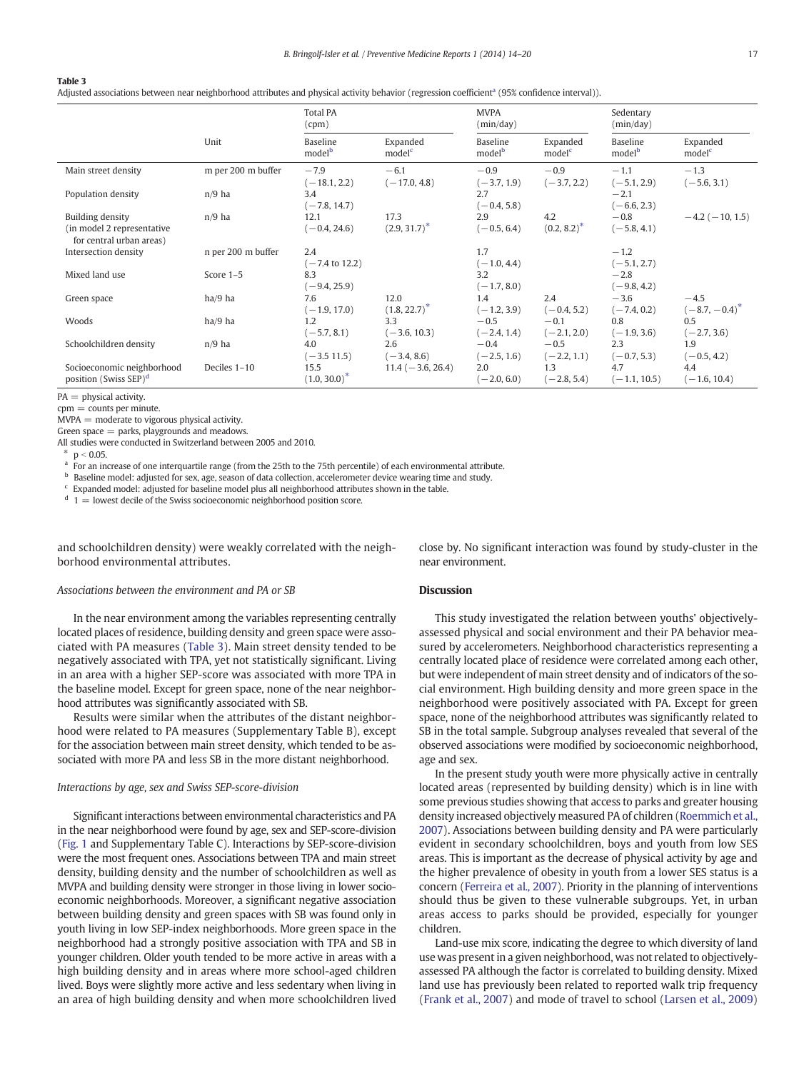# Table 3

Adjusted associations between near neighborhood attributes and physical activity behavior (regression coefficient<sup>a</sup> (95% confidence interval)).

|                                                                                   |                    | <b>Total PA</b><br>(cpm)         |                                | <b>MVPA</b><br>(min/day)       |                                | Sedentary<br>(min/day)         |                                |
|-----------------------------------------------------------------------------------|--------------------|----------------------------------|--------------------------------|--------------------------------|--------------------------------|--------------------------------|--------------------------------|
|                                                                                   | Unit               | Baseline<br>model <sup>b</sup>   | Expanded<br>model <sup>c</sup> | Baseline<br>model <sup>b</sup> | Expanded<br>model <sup>c</sup> | Baseline<br>model <sup>b</sup> | Expanded<br>model <sup>c</sup> |
| Main street density                                                               | m per 200 m buffer | $-7.9$<br>$(-18.1, 2.2)$         | $-6.1$<br>$(-17.0, 4.8)$       | $-0.9$<br>$(-3.7, 1.9)$        | $-0.9$<br>$(-3.7, 2.2)$        | $-1.1$<br>$(-5.1, 2.9)$        | $-1.3$<br>$(-5.6, 3.1)$        |
| Population density                                                                | $n/9$ ha           | 3.4<br>$(-7.8, 14.7)$            |                                | 2.7<br>$(-0.4, 5.8)$           |                                | $-2.1$<br>$(-6.6, 2.3)$        |                                |
| <b>Building density</b><br>(in model 2 representative<br>for central urban areas) | $n/9$ ha           | 12.1<br>$(-0.4, 24.6)$           | 17.3<br>$(2.9, 31.7)^*$        | 2.9<br>$(-0.5, 6.4)$           | 4.2<br>$(0.2, 8.2)^*$          | $-0.8$<br>$(-5.8, 4.1)$        | $-4.2$ ( $-10, 1.5$ )          |
| Intersection density                                                              | n per 200 m buffer | 2.4<br>$(-7.4 \text{ to } 12.2)$ |                                | 1.7<br>$(-1.0, 4.4)$           |                                | $-1.2$<br>$(-5.1, 2.7)$        |                                |
| Mixed land use                                                                    | Score 1-5          | 8.3<br>$(-9.4, 25.9)$            |                                | 3.2<br>$(-1.7, 8.0)$           |                                | $-2.8$<br>$(-9.8, 4.2)$        |                                |
| Green space                                                                       | ha/9 ha            | 7.6<br>$(-1.9, 17.0)$            | 12.0<br>$(1.8, 22.7)^*$        | 1.4<br>$(-1.2, 3.9)$           | 2.4<br>$(-0.4, 5.2)$           | $-3.6$<br>$(-7.4, 0.2)$        | $-4.5$<br>$(-8.7, -0.4)^*$     |
| Woods                                                                             | ha/9 ha            | 1.2<br>$(-5.7, 8.1)$             | 3.3<br>$(-3.6, 10.3)$          | $-0.5$<br>$(-2.4, 1.4)$        | $-0.1$<br>$(-2.1, 2.0)$        | 0.8<br>$(-1.9, 3.6)$           | 0.5<br>$(-2.7, 3.6)$           |
| Schoolchildren density                                                            | $n/9$ ha           | 4.0<br>$(-3.511.5)$              | 2.6<br>$(-3.4, 8.6)$           | $-0.4$<br>$(-2.5, 1.6)$        | $-0.5$<br>$(-2.2, 1.1)$        | 2.3<br>$(-0.7, 5.3)$           | 1.9<br>$(-0.5, 4.2)$           |
| Socioeconomic neighborhood<br>position (Swiss SEP) <sup>d</sup>                   | Deciles 1-10       | 15.5<br>$(1.0, 30.0)^*$          | $11.4 (-3.6, 26.4)$            | 2.0<br>$(-2.0, 6.0)$           | 1.3<br>$(-2.8, 5.4)$           | 4.7<br>$(-1.1, 10.5)$          | 4.4<br>$(-1.6, 10.4)$          |

 $PA = physical activity.$ 

 $com = counts$  per minute.

 $MVPA =$  moderate to vigorous physical activity.

Green space = parks, playgrounds and meadows.

All studies were conducted in Switzerland between 2005 and 2010.

\*  $p < 0.05$ .

For an increase of one interquartile range (from the 25th to the 75th percentile) of each environmental attribute.

**b** Baseline model: adjusted for sex, age, season of data collection, accelerometer device wearing time and study.

 $c$  Expanded model: adjusted for baseline model plus all neighborhood attributes shown in the table.

 $d = 1$  = lowest decile of the Swiss socioeconomic neighborhood position score.

and schoolchildren density) were weakly correlated with the neighborhood environmental attributes.

# Associations between the environment and PA or SB

In the near environment among the variables representing centrally located places of residence, building density and green space were associated with PA measures (Table 3). Main street density tended to be negatively associated with TPA, yet not statistically significant. Living in an area with a higher SEP-score was associated with more TPA in the baseline model. Except for green space, none of the near neighborhood attributes was significantly associated with SB.

Results were similar when the attributes of the distant neighborhood were related to PA measures (Supplementary Table B), except for the association between main street density, which tended to be associated with more PA and less SB in the more distant neighborhood.

# Interactions by age, sex and Swiss SEP-score-division

Significant interactions between environmental characteristics and PA in the near neighborhood were found by age, sex and SEP-score-division (Fig. 1 and Supplementary Table C). Interactions by SEP-score-division were the most frequent ones. Associations between TPA and main street density, building density and the number of schoolchildren as well as MVPA and building density were stronger in those living in lower socioeconomic neighborhoods. Moreover, a significant negative association between building density and green spaces with SB was found only in youth living in low SEP-index neighborhoods. More green space in the neighborhood had a strongly positive association with TPA and SB in younger children. Older youth tended to be more active in areas with a high building density and in areas where more school-aged children lived. Boys were slightly more active and less sedentary when living in an area of high building density and when more schoolchildren lived close by. No significant interaction was found by study-cluster in the near environment.

#### Discussion

This study investigated the relation between youths' objectivelyassessed physical and social environment and their PA behavior measured by accelerometers. Neighborhood characteristics representing a centrally located place of residence were correlated among each other, but were independent of main street density and of indicators of the social environment. High building density and more green space in the neighborhood were positively associated with PA. Except for green space, none of the neighborhood attributes was significantly related to SB in the total sample. Subgroup analyses revealed that several of the observed associations were modified by socioeconomic neighborhood, age and sex.

In the present study youth were more physically active in centrally located areas (represented by building density) which is in line with some previous studies showing that access to parks and greater housing density increased objectively measured PA of children (Roemmich et al., 2007). Associations between building density and PA were particularly evident in secondary schoolchildren, boys and youth from low SES areas. This is important as the decrease of physical activity by age and the higher prevalence of obesity in youth from a lower SES status is a concern (Ferreira et al., 2007). Priority in the planning of interventions should thus be given to these vulnerable subgroups. Yet, in urban areas access to parks should be provided, especially for younger children.

Land-use mix score, indicating the degree to which diversity of land use was present in a given neighborhood, was not related to objectivelyassessed PA although the factor is correlated to building density. Mixed land use has previously been related to reported walk trip frequency (Frank et al., 2007) and mode of travel to school (Larsen et al., 2009)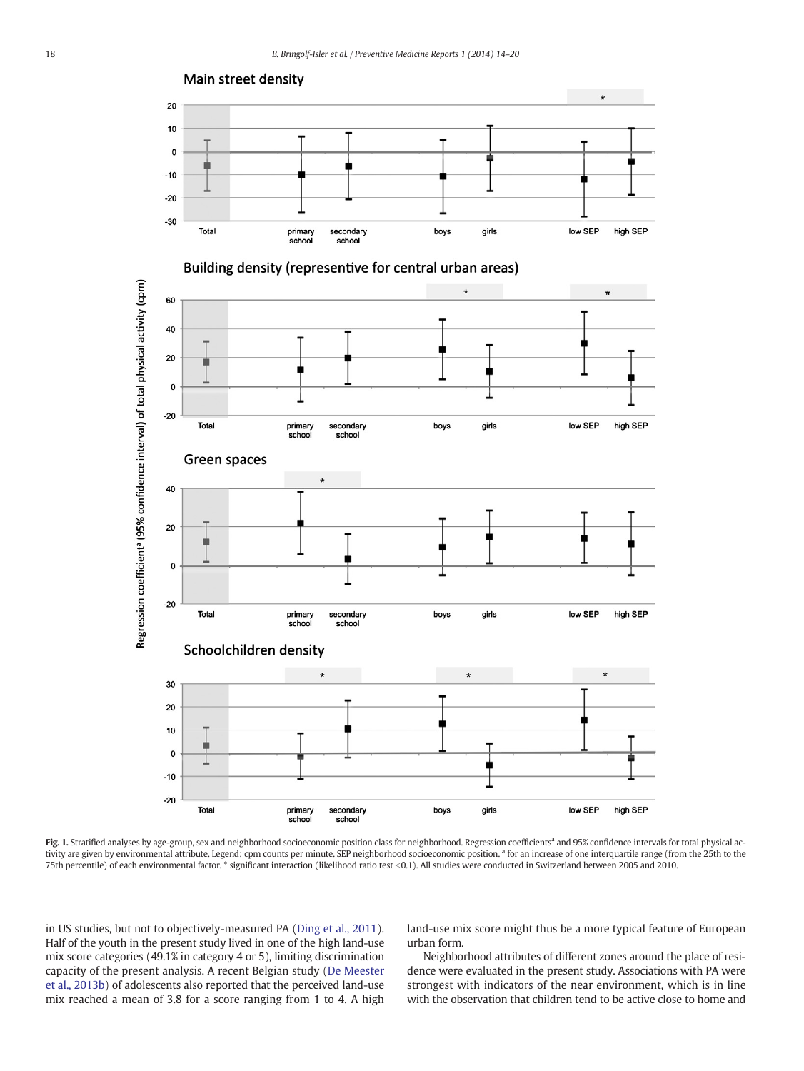

Fig. 1. Stratified analyses by age-group, sex and neighborhood socioeconomic position class for neighborhood. Regression coefficients<sup>a</sup> and 95% confidence intervals for total physical activity are given by environmental attribute. Legend: cpm counts per minute. SEP neighborhood socioeconomic position.<sup>a</sup> for an increase of one interquartile range (from the 25th to the 75th percentile) of each environmental factor. \* significant interaction (likelihood ratio test <0.1). All studies were conducted in Switzerland between 2005 and 2010.

in US studies, but not to objectively-measured PA (Ding et al., 2011). Half of the youth in the present study lived in one of the high land-use mix score categories (49.1% in category 4 or 5), limiting discrimination capacity of the present analysis. A recent Belgian study (De Meester et al., 2013b) of adolescents also reported that the perceived land-use mix reached a mean of 3.8 for a score ranging from 1 to 4. A high land-use mix score might thus be a more typical feature of European urban form.

Neighborhood attributes of different zones around the place of residence were evaluated in the present study. Associations with PA were strongest with indicators of the near environment, which is in line with the observation that children tend to be active close to home and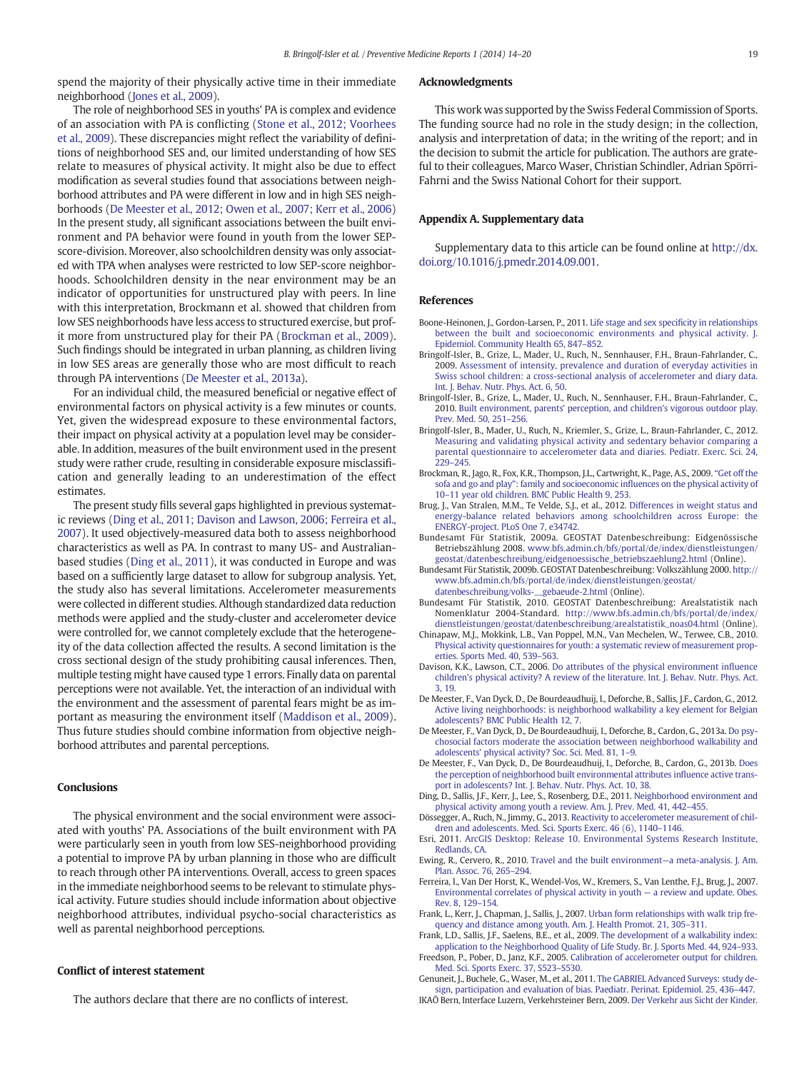spend the majority of their physically active time in their immediate neighborhood (Jones et al., 2009).

The role of neighborhood SES in youths' PA is complex and evidence of an association with PA is conflicting (Stone et al., 2012; Voorhees et al., 2009). These discrepancies might reflect the variability of definitions of neighborhood SES and, our limited understanding of how SES relate to measures of physical activity. It might also be due to effect modification as several studies found that associations between neighborhood attributes and PA were different in low and in high SES neighborhoods (De Meester et al., 2012; Owen et al., 2007; Kerr et al., 2006) In the present study, all significant associations between the built environment and PA behavior were found in youth from the lower SEPscore-division. Moreover, also schoolchildren density was only associated with TPA when analyses were restricted to low SEP-score neighborhoods. Schoolchildren density in the near environment may be an indicator of opportunities for unstructured play with peers. In line with this interpretation, Brockmann et al. showed that children from low SES neighborhoods have less access to structured exercise, but profit more from unstructured play for their PA (Brockman et al., 2009). Such findings should be integrated in urban planning, as children living in low SES areas are generally those who are most difficult to reach through PA interventions (De Meester et al., 2013a).

For an individual child, the measured beneficial or negative effect of environmental factors on physical activity is a few minutes or counts. Yet, given the widespread exposure to these environmental factors, their impact on physical activity at a population level may be considerable. In addition, measures of the built environment used in the present study were rather crude, resulting in considerable exposure misclassification and generally leading to an underestimation of the effect estimates.

The present study fills several gaps highlighted in previous systematic reviews (Ding et al., 2011; Davison and Lawson, 2006; Ferreira et al., 2007). It used objectively-measured data both to assess neighborhood characteristics as well as PA. In contrast to many US- and Australianbased studies (Ding et al., 2011), it was conducted in Europe and was based on a sufficiently large dataset to allow for subgroup analysis. Yet, the study also has several limitations. Accelerometer measurements were collected in different studies. Although standardized data reduction methods were applied and the study-cluster and accelerometer device were controlled for, we cannot completely exclude that the heterogeneity of the data collection affected the results. A second limitation is the cross sectional design of the study prohibiting causal inferences. Then, multiple testing might have caused type 1 errors. Finally data on parental perceptions were not available. Yet, the interaction of an individual with the environment and the assessment of parental fears might be as important as measuring the environment itself (Maddison et al., 2009). Thus future studies should combine information from objective neighborhood attributes and parental perceptions.

# **Conclusions**

The physical environment and the social environment were associated with youths' PA. Associations of the built environment with PA were particularly seen in youth from low SES-neighborhood providing a potential to improve PA by urban planning in those who are difficult to reach through other PA interventions. Overall, access to green spaces in the immediate neighborhood seems to be relevant to stimulate physical activity. Future studies should include information about objective neighborhood attributes, individual psycho-social characteristics as well as parental neighborhood perceptions.

# Conflict of interest statement

The authors declare that there are no conflicts of interest.

# Acknowledgments

This work was supported by the Swiss Federal Commission of Sports. The funding source had no role in the study design; in the collection, analysis and interpretation of data; in the writing of the report; and in the decision to submit the article for publication. The authors are grateful to their colleagues, Marco Waser, Christian Schindler, Adrian Spörri-Fahrni and the Swiss National Cohort for their support.

# Appendix A. Supplementary data

Supplementary data to this article can be found online at [http://dx.](http://dx.doi.org/10.1016/j.pmedr.2014.09.001) [doi.org/10.1016/j.pmedr.2014.09.001](http://dx.doi.org/10.1016/j.pmedr.2014.09.001).

# References

- Boone-Heinonen, J., Gordon-Larsen, P., 2011. [Life stage and sex speci](http://refhub.elsevier.com/S2211-3355(14)00005-9/rf0005)ficity in relationships [between the built and socioeconomic environments and physical activity. J.](http://refhub.elsevier.com/S2211-3355(14)00005-9/rf0005) [Epidemiol. Community Health 65, 847](http://refhub.elsevier.com/S2211-3355(14)00005-9/rf0005)–852.
- Bringolf-Isler, B., Grize, L., Mader, U., Ruch, N., Sennhauser, F.H., Braun-Fahrlander, C., 2009. [Assessment of intensity, prevalence and duration of everyday activities in](http://refhub.elsevier.com/S2211-3355(14)00005-9/rf0010) [Swiss school children: a cross-sectional analysis of accelerometer and diary data.](http://refhub.elsevier.com/S2211-3355(14)00005-9/rf0010) [Int. J. Behav. Nutr. Phys. Act. 6, 50](http://refhub.elsevier.com/S2211-3355(14)00005-9/rf0010).
- Bringolf-Isler, B., Grize, L., Mader, U., Ruch, N., Sennhauser, F.H., Braun-Fahrlander, C., 2010. [Built environment, parents' perception, and children's vigorous outdoor play.](http://refhub.elsevier.com/S2211-3355(14)00005-9/rf0015) [Prev. Med. 50, 251](http://refhub.elsevier.com/S2211-3355(14)00005-9/rf0015)–256.
- Bringolf-Isler, B., Mader, U., Ruch, N., Kriemler, S., Grize, L., Braun-Fahrlander, C., 2012. [Measuring and validating physical activity and sedentary behavior comparing a](http://refhub.elsevier.com/S2211-3355(14)00005-9/rf0020) [parental questionnaire to accelerometer data and diaries. Pediatr. Exerc. Sci. 24,](http://refhub.elsevier.com/S2211-3355(14)00005-9/rf0020) [229](http://refhub.elsevier.com/S2211-3355(14)00005-9/rf0020)–245.
- Brockman, R., Jago, R., Fox, K.R., Thompson, J.L., Cartwright, K., Page, A.S., 2009. "[Get off the](http://refhub.elsevier.com/S2211-3355(14)00005-9/rf0025) sofa and go and play": family and socioeconomic infl[uences on the physical activity of](http://refhub.elsevier.com/S2211-3355(14)00005-9/rf0025) 10–[11 year old children. BMC Public Health 9, 253](http://refhub.elsevier.com/S2211-3355(14)00005-9/rf0025).
- Brug, J., Van Stralen, M.M., Te Velde, S.J., et al., 2012. [Differences in weight status and](http://refhub.elsevier.com/S2211-3355(14)00005-9/rf0030) [energy-balance related behaviors among schoolchildren across Europe: the](http://refhub.elsevier.com/S2211-3355(14)00005-9/rf0030) [ENERGY-project. PLoS One 7, e34742.](http://refhub.elsevier.com/S2211-3355(14)00005-9/rf0030)
- Bundesamt Für Statistik, 2009a. GEOSTAT Datenbeschreibung: Eidgenössische Betriebszählung 2008. [www.bfs.admin.ch/bfs/portal/de/index/dienstleistungen/](http://www.bfs.admin.ch/bfs/portal/de/index/dienstleistungen/geostat/datenbeschreibung/eidgenoessische_betriebszaehlung2.html) [geostat/datenbeschreibung/eidgenoessische\\_betriebszaehlung2.html](http://www.bfs.admin.ch/bfs/portal/de/index/dienstleistungen/geostat/datenbeschreibung/eidgenoessische_betriebszaehlung2.html) (Online).
- Bundesamt Für Statistik, 2009b. GEOSTAT Datenbeschreibung: Volkszählung 2000. [http://](http://www.bfs.admin.ch/bfs/portal/de/index/dienstleistungen/geostat/datenbeschreibung/volks-__gebaeude-2.html) [www.bfs.admin.ch/bfs/portal/de/index/dienstleistungen/geostat/](http://www.bfs.admin.ch/bfs/portal/de/index/dienstleistungen/geostat/datenbeschreibung/volks-__gebaeude-2.html) [datenbeschreibung/volks-\\_\\_gebaeude-2.html](http://www.bfs.admin.ch/bfs/portal/de/index/dienstleistungen/geostat/datenbeschreibung/volks-__gebaeude-2.html) (Online).
- Bundesamt Für Statistik, 2010. GEOSTAT Datenbeschreibung: Arealstatistik nach Nomenklatur 2004-Standard. [http://www.bfs.admin.ch/bfs/portal/de/index/](http://www.bfs.admin.ch/bfs/portal/de/index/dienstleistungen/geostat/datenbeschreibung/arealstatistik_noas04.html) [dienstleistungen/geostat/datenbeschreibung/arealstatistik\\_noas04.html](http://www.bfs.admin.ch/bfs/portal/de/index/dienstleistungen/geostat/datenbeschreibung/arealstatistik_noas04.html) (Online).
- Chinapaw, M.J., Mokkink, L.B., Van Poppel, M.N., Van Mechelen, W., Terwee, C.B., 2010. [Physical activity questionnaires for youth: a systematic review of measurement prop](http://refhub.elsevier.com/S2211-3355(14)00005-9/rf0035)[erties. Sports Med. 40, 539](http://refhub.elsevier.com/S2211-3355(14)00005-9/rf0035)–563.
- Davison, K.K., Lawson, C.T., 2006. [Do attributes of the physical environment in](http://refhub.elsevier.com/S2211-3355(14)00005-9/rf0040)fluence [children's physical activity? A review of the literature. Int. J. Behav. Nutr. Phys. Act.](http://refhub.elsevier.com/S2211-3355(14)00005-9/rf0040) [3, 19](http://refhub.elsevier.com/S2211-3355(14)00005-9/rf0040).
- De Meester, F., Van Dyck, D., De Bourdeaudhuij, I., Deforche, B., Sallis, J.F., Cardon, G., 2012. [Active living neighborhoods: is neighborhood walkability a key element for Belgian](http://refhub.elsevier.com/S2211-3355(14)00005-9/rf0055) [adolescents? BMC Public Health 12, 7](http://refhub.elsevier.com/S2211-3355(14)00005-9/rf0055).
- De Meester, F., Van Dyck, D., De Bourdeaudhuij, I., Deforche, B., Cardon, G., 2013a. [Do psy](http://refhub.elsevier.com/S2211-3355(14)00005-9/rf0045)[chosocial factors moderate the association between neighborhood walkability and](http://refhub.elsevier.com/S2211-3355(14)00005-9/rf0045) [adolescents' physical activity? Soc. Sci. Med. 81, 1](http://refhub.elsevier.com/S2211-3355(14)00005-9/rf0045)–9.
- De Meester, F., Van Dyck, D., De Bourdeaudhuij, I., Deforche, B., Cardon, G., 2013b. [Does](http://refhub.elsevier.com/S2211-3355(14)00005-9/rf0050) [the perception of neighborhood built environmental attributes in](http://refhub.elsevier.com/S2211-3355(14)00005-9/rf0050)fluence active trans[port in adolescents? Int. J. Behav. Nutr. Phys. Act. 10, 38](http://refhub.elsevier.com/S2211-3355(14)00005-9/rf0050).
- Ding, D., Sallis, J.F., Kerr, J., Lee, S., Rosenberg, D.E., 2011. [Neighborhood environment and](http://refhub.elsevier.com/S2211-3355(14)00005-9/rf0060) [physical activity among youth a review. Am. J. Prev. Med. 41, 442](http://refhub.elsevier.com/S2211-3355(14)00005-9/rf0060)–455.
- Dössegger, A., Ruch, N., Jimmy, G., 2013. [Reactivity to accelerometer measurement of chil](http://refhub.elsevier.com/S2211-3355(14)00005-9/rf9050)[dren and adolescents. Med. Sci. Sports Exerc. 46 \(6\), 1140](http://refhub.elsevier.com/S2211-3355(14)00005-9/rf9050)–1146.
- Esri, 2011. [ArcGIS Desktop: Release 10. Environmental Systems Research Institute,](http://refhub.elsevier.com/S2211-3355(14)00005-9/rf0220) [Redlands, CA](http://refhub.elsevier.com/S2211-3355(14)00005-9/rf0220).
- Ewing, R., Cervero, R., 2010. [Travel and the built environment](http://refhub.elsevier.com/S2211-3355(14)00005-9/rf0075)—a meta-analysis. J. Am. [Plan. Assoc. 76, 265](http://refhub.elsevier.com/S2211-3355(14)00005-9/rf0075)–294.
- Ferreira, I., Van Der Horst, K., Wendel-Vos, W., Kremers, S., Van Lenthe, F.J., Brug, J., 2007. [Environmental correlates of physical activity in youth](http://refhub.elsevier.com/S2211-3355(14)00005-9/rf0080) — a review and update. Obes. [Rev. 8, 129](http://refhub.elsevier.com/S2211-3355(14)00005-9/rf0080)–154.
- Frank, L., Kerr, J., Chapman, J., Sallis, J., 2007. [Urban form relationships with walk trip fre](http://refhub.elsevier.com/S2211-3355(14)00005-9/rf0085)[quency and distance among youth. Am. J. Health Promot. 21, 305](http://refhub.elsevier.com/S2211-3355(14)00005-9/rf0085)–311.
- Frank, L.D., Sallis, J.F., Saelens, B.E., et al., 2009. [The development of a walkability index:](http://refhub.elsevier.com/S2211-3355(14)00005-9/rf0090) [application to the Neighborhood Quality of Life Study. Br. J. Sports Med. 44, 924](http://refhub.elsevier.com/S2211-3355(14)00005-9/rf0090)–933.
- Freedson, P., Pober, D., Janz, K.F., 2005. [Calibration of accelerometer output for children.](http://refhub.elsevier.com/S2211-3355(14)00005-9/rf0095) [Med. Sci. Sports Exerc. 37, S523](http://refhub.elsevier.com/S2211-3355(14)00005-9/rf0095)–S530. Genuneit, J., Buchele, G., Waser, M., et al., 2011. [The GABRIEL Advanced Surveys: study de-](http://refhub.elsevier.com/S2211-3355(14)00005-9/rf0100)
- [sign, participation and evaluation of bias. Paediatr. Perinat. Epidemiol. 25, 436](http://refhub.elsevier.com/S2211-3355(14)00005-9/rf0100)–447. IKAÖ Bern, Interface Luzern, Verkehrsteiner Bern, 2009. [Der Verkehr aus Sicht der Kinder](http://refhub.elsevier.com/S2211-3355(14)00005-9/rf0225).